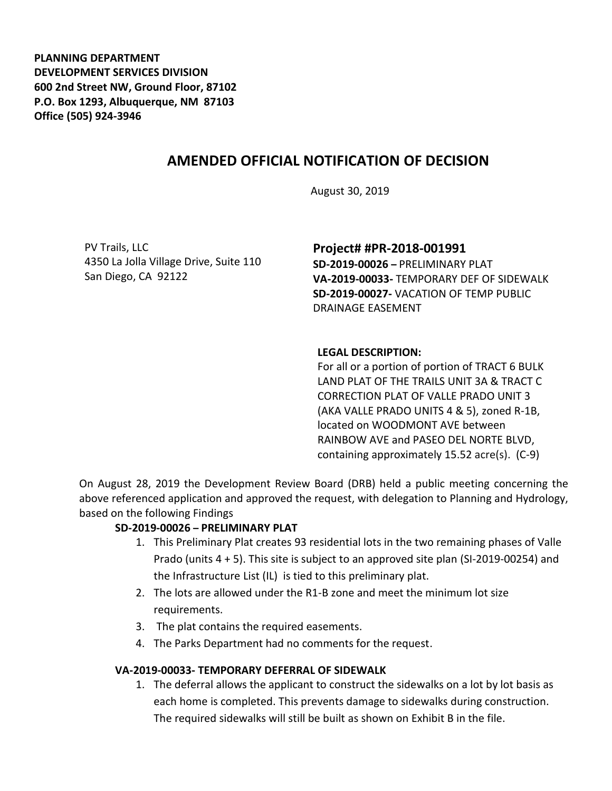**PLANNING DEPARTMENT DEVELOPMENT SERVICES DIVISION 600 2nd Street NW, Ground Floor, 87102 P.O. Box 1293, Albuquerque, NM 87103 Office (505) 924-3946** 

# **AMENDED OFFICIAL NOTIFICATION OF DECISION**

August 30, 2019

PV Trails, LLC 4350 La Jolla Village Drive, Suite 110 San Diego, CA 92122

#### **Project# #PR-2018-001991**

**SD-2019-00026 –** PRELIMINARY PLAT **VA-2019-00033-** TEMPORARY DEF OF SIDEWALK **SD-2019-00027-** VACATION OF TEMP PUBLIC DRAINAGE EASEMENT

#### **LEGAL DESCRIPTION:**

For all or a portion of portion of TRACT 6 BULK LAND PLAT OF THE TRAILS UNIT 3A & TRACT C CORRECTION PLAT OF VALLE PRADO UNIT 3 (AKA VALLE PRADO UNITS 4 & 5), zoned R-1B, located on WOODMONT AVE between RAINBOW AVE and PASEO DEL NORTE BLVD, containing approximately 15.52 acre(s). (C-9)

On August 28, 2019 the Development Review Board (DRB) held a public meeting concerning the above referenced application and approved the request, with delegation to Planning and Hydrology, based on the following Findings

#### **SD-2019-00026 – PRELIMINARY PLAT**

- 1. This Preliminary Plat creates 93 residential lots in the two remaining phases of Valle Prado (units 4 + 5). This site is subject to an approved site plan (SI-2019-00254) and the Infrastructure List (IL) is tied to this preliminary plat.
- 2. The lots are allowed under the R1-B zone and meet the minimum lot size requirements.
- 3. The plat contains the required easements.
- 4. The Parks Department had no comments for the request.

#### **VA-2019-00033- TEMPORARY DEFERRAL OF SIDEWALK**

1. The deferral allows the applicant to construct the sidewalks on a lot by lot basis as each home is completed. This prevents damage to sidewalks during construction. The required sidewalks will still be built as shown on Exhibit B in the file.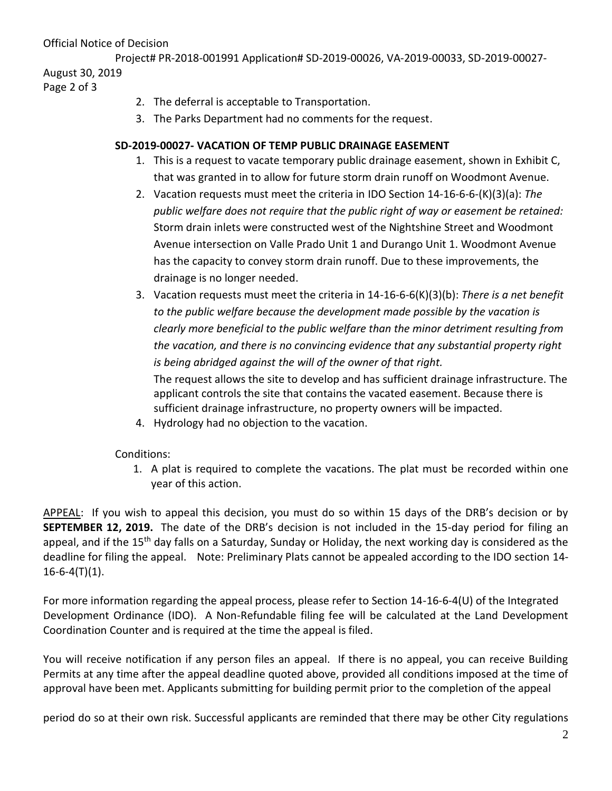Official Notice of Decision

Project# PR-2018-001991 Application# SD-2019-00026, VA-2019-00033, SD-2019-00027- August 30, 2019

Page 2 of 3

- 2. The deferral is acceptable to Transportation.
- 3. The Parks Department had no comments for the request.

### **SD-2019-00027- VACATION OF TEMP PUBLIC DRAINAGE EASEMENT**

- 1. This is a request to vacate temporary public drainage easement, shown in Exhibit C, that was granted in to allow for future storm drain runoff on Woodmont Avenue.
- 2. Vacation requests must meet the criteria in IDO Section 14-16-6-6-(K)(3)(a): *The public welfare does not require that the public right of way or easement be retained:* Storm drain inlets were constructed west of the Nightshine Street and Woodmont Avenue intersection on Valle Prado Unit 1 and Durango Unit 1. Woodmont Avenue has the capacity to convey storm drain runoff. Due to these improvements, the drainage is no longer needed.
- 3. Vacation requests must meet the criteria in 14-16-6-6(K)(3)(b): *There is a net benefit to the public welfare because the development made possible by the vacation is clearly more beneficial to the public welfare than the minor detriment resulting from the vacation, and there is no convincing evidence that any substantial property right is being abridged against the will of the owner of that right.* The request allows the site to develop and has sufficient drainage infrastructure. The applicant controls the site that contains the vacated easement. Because there is sufficient drainage infrastructure, no property owners will be impacted.
- 4. Hydrology had no objection to the vacation.

Conditions:

1. A plat is required to complete the vacations. The plat must be recorded within one year of this action.

APPEAL: If you wish to appeal this decision, you must do so within 15 days of the DRB's decision or by **SEPTEMBER 12, 2019.** The date of the DRB's decision is not included in the 15-day period for filing an appeal, and if the 15<sup>th</sup> day falls on a Saturday, Sunday or Holiday, the next working day is considered as the deadline for filing the appeal. Note: Preliminary Plats cannot be appealed according to the IDO section 14-  $16-6-4(T)(1)$ .

For more information regarding the appeal process, please refer to Section 14-16-6-4(U) of the Integrated Development Ordinance (IDO). A Non-Refundable filing fee will be calculated at the Land Development Coordination Counter and is required at the time the appeal is filed.

You will receive notification if any person files an appeal. If there is no appeal, you can receive Building Permits at any time after the appeal deadline quoted above, provided all conditions imposed at the time of approval have been met. Applicants submitting for building permit prior to the completion of the appeal

period do so at their own risk. Successful applicants are reminded that there may be other City regulations